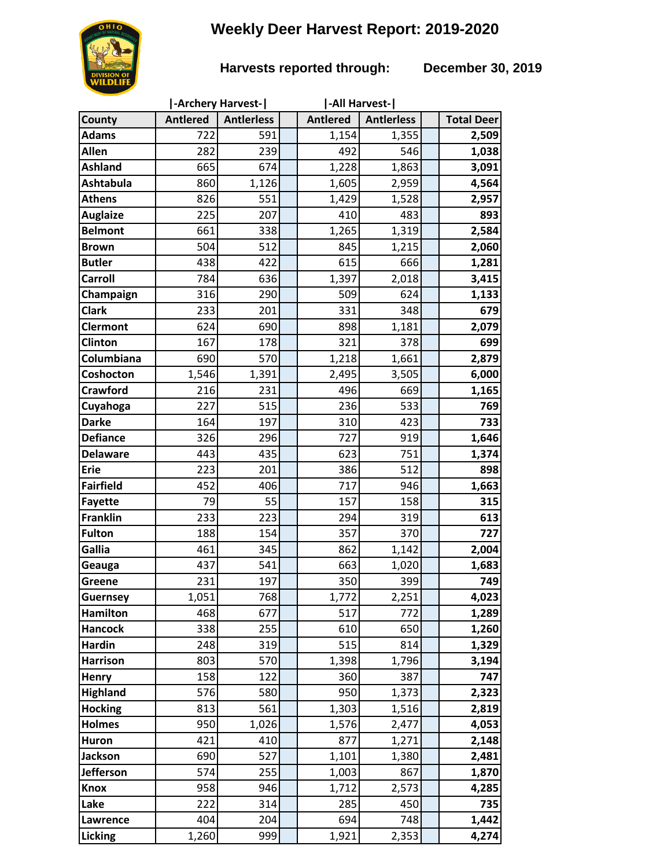# **Weekly Deer Harvest Report: 2019-2020**

## **Harvests reported through: December 30, 2019**

|                  | -Archery Harvest- |                   |  | -All Harvest-   |                   |  |                   |
|------------------|-------------------|-------------------|--|-----------------|-------------------|--|-------------------|
| County           | <b>Antlered</b>   | <b>Antierless</b> |  | <b>Antlered</b> | <b>Antierless</b> |  | <b>Total Deer</b> |
| <b>Adams</b>     | 722               | 591               |  | 1,154           | 1,355             |  | 2,509             |
| <b>Allen</b>     | 282               | 239               |  | 492             | 546               |  | 1,038             |
| <b>Ashland</b>   | 665               | 674               |  | 1,228           | 1,863             |  | 3,091             |
| <b>Ashtabula</b> | 860               | 1,126             |  | 1,605           | 2,959             |  | 4,564             |
| <b>Athens</b>    | 826               | 551               |  | 1,429           | 1,528             |  | 2,957             |
| <b>Auglaize</b>  | 225               | 207               |  | 410             | 483               |  | 893               |
| <b>Belmont</b>   | 661               | 338               |  | 1,265           | 1,319             |  | 2,584             |
| <b>Brown</b>     | 504               | 512               |  | 845             | 1,215             |  | 2,060             |
| <b>Butler</b>    | 438               | 422               |  | 615             | 666               |  | 1,281             |
| <b>Carroll</b>   | 784               | 636               |  | 1,397           | 2,018             |  | 3,415             |
| Champaign        | 316               | 290               |  | 509             | 624               |  | 1,133             |
| <b>Clark</b>     | 233               | 201               |  | 331             | 348               |  | 679               |
| <b>Clermont</b>  | 624               | 690               |  | 898             | 1,181             |  | 2,079             |
| Clinton          | 167               | 178               |  | 321             | 378               |  | 699               |
| Columbiana       | 690               | 570               |  | 1,218           | 1,661             |  | 2,879             |
| Coshocton        | 1,546             | 1,391             |  | 2,495           | 3,505             |  | 6,000             |
| <b>Crawford</b>  | 216               | 231               |  | 496             | 669               |  | 1,165             |
| Cuyahoga         | 227               | 515               |  | 236             | 533               |  | 769               |
| <b>Darke</b>     | 164               | 197               |  | 310             | 423               |  | 733               |
| <b>Defiance</b>  | 326               | 296               |  | 727             | 919               |  | 1,646             |
| <b>Delaware</b>  | 443               | 435               |  | 623             | 751               |  | 1,374             |
| <b>Erie</b>      | 223               | 201               |  | 386             | 512               |  | 898               |
| <b>Fairfield</b> | 452               | 406               |  | 717             | 946               |  | 1,663             |
| <b>Fayette</b>   | 79                | 55                |  | 157             | 158               |  | 315               |
| <b>Franklin</b>  | 233               | 223               |  | 294             | 319               |  | 613               |
| <b>Fulton</b>    | 188               | 154               |  | 357             | 370               |  | 727               |
| Gallia           | 461               | 345               |  | 862             | 1,142             |  | 2,004             |
| Geauga           | 437               | 541               |  | 663             | 1,020             |  | 1,683             |
| Greene           | 231               | 197               |  | 350             | 399               |  | 749               |
| <b>Guernsey</b>  | 1,051             | 768               |  | 1,772           | 2,251             |  | 4,023             |
| <b>Hamilton</b>  | 468               | 677               |  | 517             | 772               |  | 1,289             |
| <b>Hancock</b>   | 338               | 255               |  | 610             | 650               |  | 1,260             |
| <b>Hardin</b>    | 248               | 319               |  | 515             | 814               |  | 1,329             |
| <b>Harrison</b>  | 803               | 570               |  | 1,398           | 1,796             |  | 3,194             |
| <b>Henry</b>     | 158               | 122               |  | 360             | 387               |  | 747               |
| <b>Highland</b>  | 576               | 580               |  | 950             | 1,373             |  | 2,323             |
| <b>Hocking</b>   | 813               | 561               |  | 1,303           | 1,516             |  | 2,819             |
| <b>Holmes</b>    | 950               | 1,026             |  | 1,576           | 2,477             |  | 4,053             |
| <b>Huron</b>     | 421               | 410               |  | 877             | 1,271             |  | 2,148             |
| <b>Jackson</b>   | 690               | 527               |  | 1,101           | 1,380             |  | 2,481             |
| <b>Jefferson</b> | 574               | 255               |  | 1,003           | 867               |  | 1,870             |
| <b>Knox</b>      | 958               | 946               |  | 1,712           | 2,573             |  | 4,285             |
| Lake             | 222               | 314               |  | 285             | 450               |  | 735               |
| Lawrence         | 404               | 204               |  | 694             | 748               |  | 1,442             |
| <b>Licking</b>   | 1,260             | 999               |  | 1,921           | 2,353             |  | 4,274             |